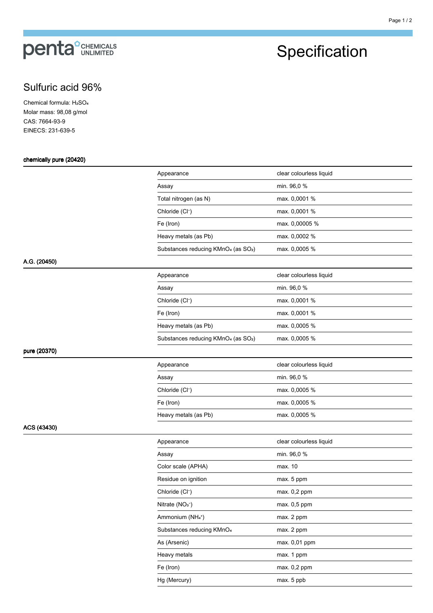# **penta**<sup>°</sup>CHEMICALS

## Specification

### Sulfuric acid 96%

Chemical formula: H<sub>2</sub>SO<sub>4</sub> Molar mass: 98,08 g/mol CAS: 7664-93-9 EINECS: 231-639-5

#### chemically pure (20420)

|  | Appearance                                                  | clear colourless liquid |
|--|-------------------------------------------------------------|-------------------------|
|  | Assay                                                       | min. 96,0 %             |
|  | Total nitrogen (as N)                                       | max. 0,0001 %           |
|  | Chloride (Cl <sup>-</sup> )                                 | max. 0,0001 %           |
|  | Fe (Iron)                                                   | max. 0,00005 %          |
|  | Heavy metals (as Pb)                                        | max. 0,0002 %           |
|  | Substances reducing KMnO <sub>4</sub> (as SO <sub>2</sub> ) | max. 0,0005 %           |
|  |                                                             |                         |
|  | Appearance                                                  | clear colourless liquid |
|  | Assay                                                       | min. 96,0 %             |
|  | Chloride (Cl <sup>-</sup> )                                 | max. 0,0001 %           |
|  | Fe (Iron)                                                   | max. 0,0001 %           |
|  | Heavy metals (as Pb)                                        | max. 0,0005 %           |
|  | Substances reducing KMnO <sub>4</sub> (as SO <sub>2</sub> ) | max. 0,0005 %           |
|  |                                                             |                         |
|  | Appearance                                                  | clear colourless liquid |
|  | Assay                                                       | min. 96,0 %             |
|  | Chloride (Cl <sup>-</sup> )                                 | max. 0,0005 %           |
|  | Fe (Iron)                                                   | max. 0,0005 %           |
|  | Heavy metals (as Pb)                                        | max. 0,0005 %           |
|  |                                                             |                         |
|  | Appearance                                                  | clear colourless liquid |
|  | Assay                                                       | min. 96,0 %             |
|  | Color scale (APHA)                                          | max. 10                 |
|  | Residue on ignition                                         | max. 5 ppm              |
|  | Chloride (Cl <sup>-</sup> )                                 | max. 0,2 ppm            |
|  | Nitrate (NO <sub>3</sub> <sup>-</sup> )                     | max. 0,5 ppm            |
|  | Ammonium (NH4+)                                             | max. 2 ppm              |
|  | Substances reducing KMnO <sub>4</sub>                       | max. 2 ppm              |
|  | As (Arsenic)                                                | max. 0,01 ppm           |
|  | Heavy metals                                                | max. 1 ppm              |
|  | Fe (Iron)                                                   | max. 0,2 ppm            |
|  | Hg (Mercury)                                                | max. 5 ppb              |
|  |                                                             |                         |

### pure (20370)

A.G. (20450)

ACS (43430)